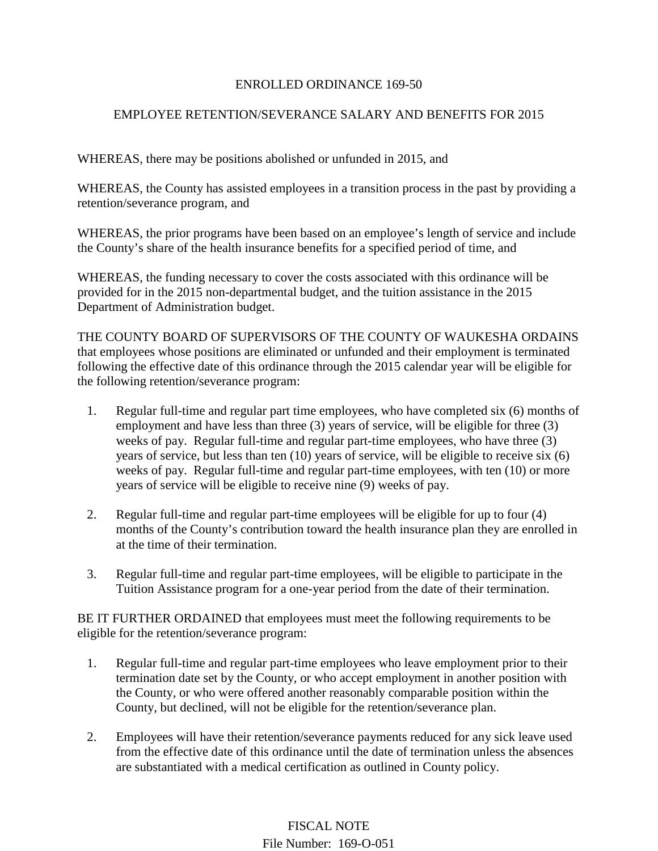# ENROLLED ORDINANCE 169-50

# EMPLOYEE RETENTION/SEVERANCE SALARY AND BENEFITS FOR 2015

WHEREAS, there may be positions abolished or unfunded in 2015, and

WHEREAS, the County has assisted employees in a transition process in the past by providing a retention/severance program, and

WHEREAS, the prior programs have been based on an employee's length of service and include the County's share of the health insurance benefits for a specified period of time, and

WHEREAS, the funding necessary to cover the costs associated with this ordinance will be provided for in the 2015 non-departmental budget, and the tuition assistance in the 2015 Department of Administration budget.

THE COUNTY BOARD OF SUPERVISORS OF THE COUNTY OF WAUKESHA ORDAINS that employees whose positions are eliminated or unfunded and their employment is terminated following the effective date of this ordinance through the 2015 calendar year will be eligible for the following retention/severance program:

- 1. Regular full-time and regular part time employees, who have completed six (6) months of employment and have less than three (3) years of service, will be eligible for three (3) weeks of pay. Regular full-time and regular part-time employees, who have three (3) years of service, but less than ten (10) years of service, will be eligible to receive six (6) weeks of pay. Regular full-time and regular part-time employees, with ten (10) or more years of service will be eligible to receive nine (9) weeks of pay.
- 2. Regular full-time and regular part-time employees will be eligible for up to four (4) months of the County's contribution toward the health insurance plan they are enrolled in at the time of their termination.
- 3. Regular full-time and regular part-time employees, will be eligible to participate in the Tuition Assistance program for a one-year period from the date of their termination.

BE IT FURTHER ORDAINED that employees must meet the following requirements to be eligible for the retention/severance program:

- 1. Regular full-time and regular part-time employees who leave employment prior to their termination date set by the County, or who accept employment in another position with the County, or who were offered another reasonably comparable position within the County, but declined, will not be eligible for the retention/severance plan.
- 2. Employees will have their retention/severance payments reduced for any sick leave used from the effective date of this ordinance until the date of termination unless the absences are substantiated with a medical certification as outlined in County policy.

FISCAL NOTE File Number: 169-O-051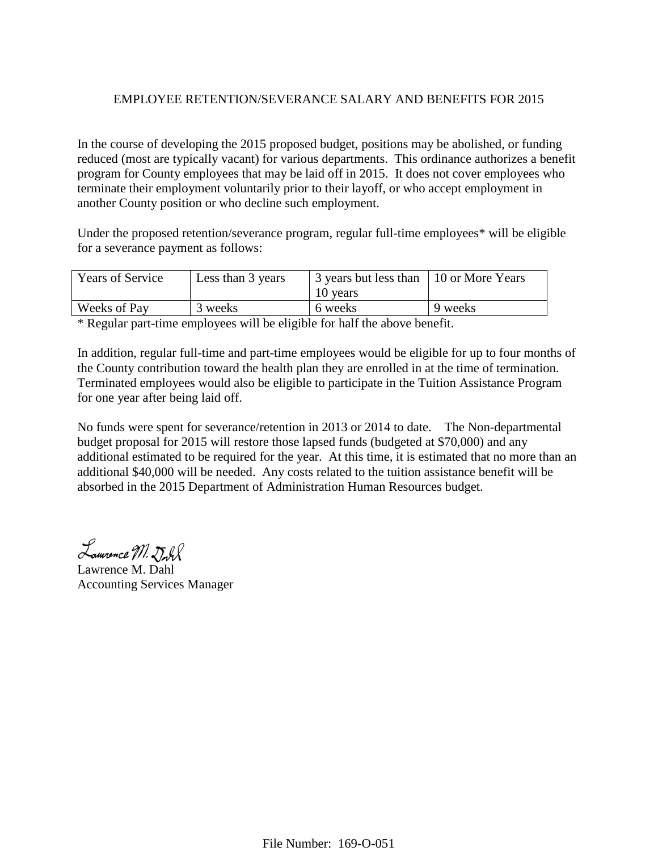# EMPLOYEE RETENTION/SEVERANCE SALARY AND BENEFITS FOR 2015

In the course of developing the 2015 proposed budget, positions may be abolished, or funding reduced (most are typically vacant) for various departments. This ordinance authorizes a benefit program for County employees that may be laid off in 2015. It does not cover employees who terminate their employment voluntarily prior to their layoff, or who accept employment in another County position or who decline such employment.

Under the proposed retention/severance program, regular full-time employees\* will be eligible for a severance payment as follows:

| <b>Years of Service</b> | Less than 3 years | 3 years but less than 10 or More Years<br>10 years |         |
|-------------------------|-------------------|----------------------------------------------------|---------|
| Weeks of Pay            | 3 weeks           | 6 weeks                                            | 9 weeks |
|                         | .                 | .                                                  |         |

\* Regular part-time employees will be eligible for half the above benefit.

In addition, regular full-time and part-time employees would be eligible for up to four months of the County contribution toward the health plan they are enrolled in at the time of termination. Terminated employees would also be eligible to participate in the Tuition Assistance Program for one year after being laid off.

No funds were spent for severance/retention in 2013 or 2014 to date. The Non-departmental budget proposal for 2015 will restore those lapsed funds (budgeted at \$70,000) and any additional estimated to be required for the year. At this time, it is estimated that no more than an additional \$40,000 will be needed. Any costs related to the tuition assistance benefit will be absorbed in the 2015 Department of Administration Human Resources budget.

Lauvence M. Dull

Lawrence M. Dahl Accounting Services Manager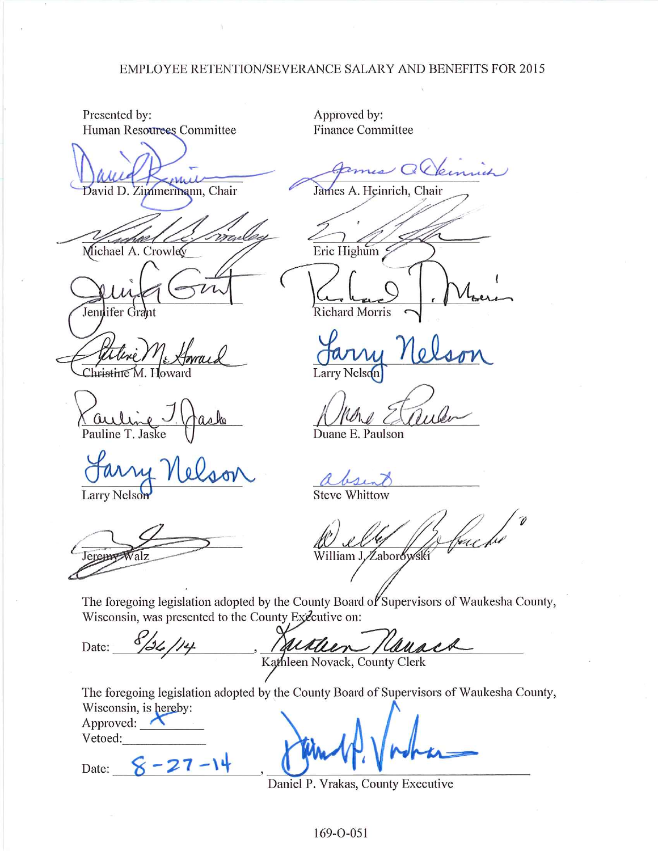### EMPLOYEE RETENTION/SEVERANCE SALARY AND BENEFITS FOR 2015

Human Resources Committee David D. Zimmermann, Chair James A. Heinrich, Chair Michael A. Crowley Eric Highum Richard Morris Jennifer Grant

Presented by:

Pauline T. Jaske

Larry Nelson

Approved by: **Finance Committee** 

**Larry Nelso** 

Duane E. Paulson

**Steve Whittow** 

William J.Zabor6wski

The foregoing legislation adopted by the County Board of Supervisors of Waukesha County, Wisconsin, was presented to the County Executive on:

- Maua Kathleen Novack, County Clerk

The foregoing legislation adopted by the County Board of Supervisors of Waukesha County, Wisconsin, is hereby: Approved:  $\triangle$ 

Vetoed:

Date:

Date:  $8 - 27 - 10$ 

Daniel P. Vrakas, County Executive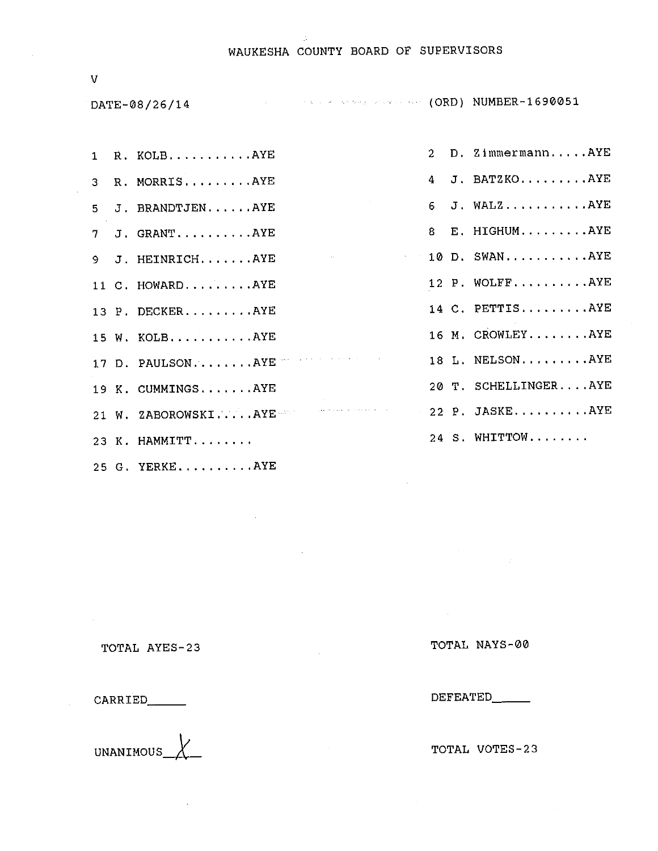#### WAUKESHA COUNTY BOARD OF SUPERVISORS

 $\overline{V}$ 

DATE-08/26/14

**CORD) NUMBER-1690051** 

- R. KOLB...........AYE 2 D. Zimmermann.....AYE  $\mathbf{1}$ J. BATZKO.........AYE  $4 \quad$ R. MORRIS.........AYE  $\mathbf{R}$  $6$  J. WALZ........... $AYE$ J. BRANDTJEN......AYE 5. 8 E. HIGHUM. ........ AYE J. GRANT..........AYE 7. 10 D. SWAN...........AYE J. HEINRICH.......AYE  $\sim$   $\sim$  $\circ$ 12 P. WOLFF..........AYE 11 C. HOWARD.........AYE 14 C. PETTIS.........AYE 13 P. DECKER. ....... AYE 16 M. CROWLEY........AYE 15 W. KOLB...........AYE 17 D. PAULSON........AYE 18 L. NELSON.........AYE 20 T. SCHELLINGER....AYE 19 K. CUMMINGS.......AYE  $\mathcal{O}(\frac{1}{2} \sum_{i=1}^{n} \frac{1}{2} \sum_{i=1}^{n} \frac{1}{2} \sum_{i=1}^{n} \frac{1}{2} \sum_{i=1}^{n} \frac{1}{2} \sum_{i=1}^{n} \frac{1}{2} \sum_{i=1}^{n} \frac{1}{2} \sum_{i=1}^{n} \frac{1}{2} \sum_{i=1}^{n} \frac{1}{2} \sum_{i=1}^{n} \frac{1}{2} \sum_{i=1}^{n} \frac{1}{2} \sum_{i=1}^{n} \frac{1}{2} \sum_{i=1}^{n} \frac{1}{2} \sum_{$ 22 P. JASKE..........AYE 21 W. ZABOROWSKI.....AYE 24 S. WHITTOW........ 23 K. HAMMITT........
- 25 G. YERKE..........AYE

TOTAL AYES-23

CARRIED

**UNANIMOUS** 

TOTAL NAYS-00

DEFEATED DE

TOTAL VOTES-23